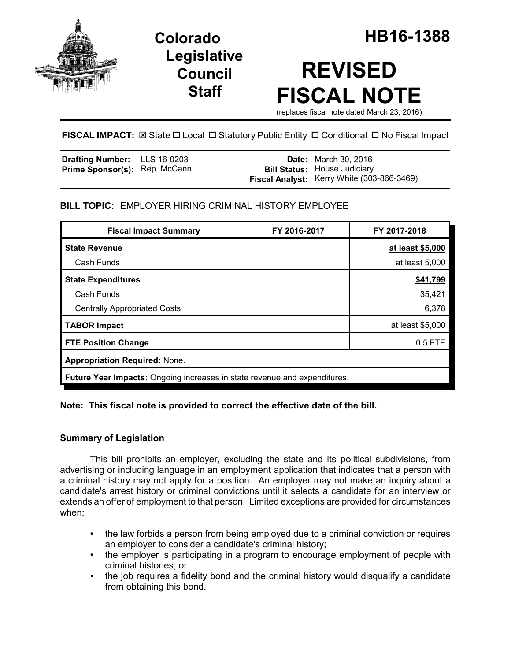

**Legislative Council Staff**

# **REVISED FISCAL NOTE**

(replaces fiscal note dated March 23, 2016)

# **FISCAL IMPACT:**  $\boxtimes$  **State □ Local □ Statutory Public Entity □ Conditional □ No Fiscal Impact**

| <b>Drafting Number:</b> LLS 16-0203  |  | <b>Date:</b> March 30, 2016                |
|--------------------------------------|--|--------------------------------------------|
| <b>Prime Sponsor(s):</b> Rep. McCann |  | <b>Bill Status:</b> House Judiciary        |
|                                      |  | Fiscal Analyst: Kerry White (303-866-3469) |

## **BILL TOPIC:** EMPLOYER HIRING CRIMINAL HISTORY EMPLOYEE

| <b>Fiscal Impact Summary</b>                                              | FY 2016-2017 | FY 2017-2018     |  |  |  |
|---------------------------------------------------------------------------|--------------|------------------|--|--|--|
| <b>State Revenue</b>                                                      |              | at least \$5,000 |  |  |  |
| Cash Funds                                                                |              | at least 5,000   |  |  |  |
| <b>State Expenditures</b>                                                 |              | \$41,799         |  |  |  |
| Cash Funds                                                                |              | 35,421           |  |  |  |
| <b>Centrally Appropriated Costs</b>                                       |              | 6,378            |  |  |  |
| <b>TABOR Impact</b>                                                       |              | at least \$5,000 |  |  |  |
| <b>FTE Position Change</b>                                                |              | $0.5$ FTE        |  |  |  |
| <b>Appropriation Required: None.</b>                                      |              |                  |  |  |  |
| Future Year Impacts: Ongoing increases in state revenue and expenditures. |              |                  |  |  |  |

## **Note: This fiscal note is provided to correct the effective date of the bill.**

## **Summary of Legislation**

This bill prohibits an employer, excluding the state and its political subdivisions, from advertising or including language in an employment application that indicates that a person with a criminal history may not apply for a position. An employer may not make an inquiry about a candidate's arrest history or criminal convictions until it selects a candidate for an interview or extends an offer of employment to that person. Limited exceptions are provided for circumstances when:

- the law forbids a person from being employed due to a criminal conviction or requires an employer to consider a candidate's criminal history;
- the employer is participating in a program to encourage employment of people with criminal histories; or
- the job requires a fidelity bond and the criminal history would disqualify a candidate from obtaining this bond.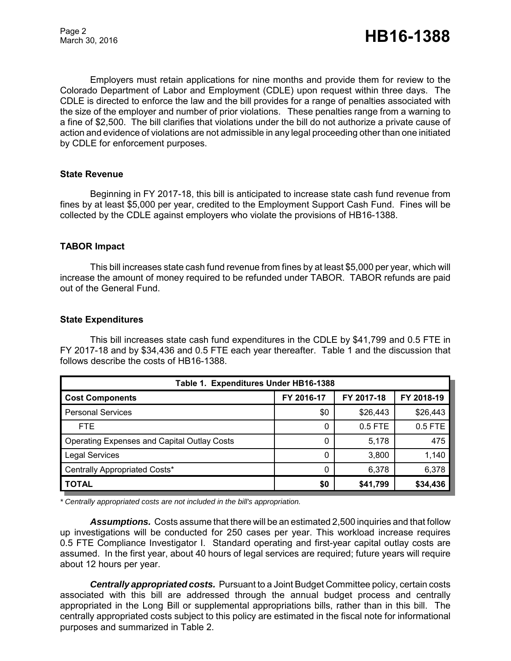Employers must retain applications for nine months and provide them for review to the Colorado Department of Labor and Employment (CDLE) upon request within three days. The CDLE is directed to enforce the law and the bill provides for a range of penalties associated with the size of the employer and number of prior violations. These penalties range from a warning to a fine of \$2,500. The bill clarifies that violations under the bill do not authorize a private cause of action and evidence of violations are not admissible in any legal proceeding other than one initiated by CDLE for enforcement purposes.

#### **State Revenue**

Beginning in FY 2017-18, this bill is anticipated to increase state cash fund revenue from fines by at least \$5,000 per year, credited to the Employment Support Cash Fund. Fines will be collected by the CDLE against employers who violate the provisions of HB16-1388.

#### **TABOR Impact**

This bill increases state cash fund revenue from fines by at least \$5,000 per year, which will increase the amount of money required to be refunded under TABOR. TABOR refunds are paid out of the General Fund.

#### **State Expenditures**

This bill increases state cash fund expenditures in the CDLE by \$41,799 and 0.5 FTE in FY 2017-18 and by \$34,436 and 0.5 FTE each year thereafter. Table 1 and the discussion that follows describe the costs of HB16-1388.

| Table 1. Expenditures Under HB16-1388       |            |            |            |  |  |  |
|---------------------------------------------|------------|------------|------------|--|--|--|
| <b>Cost Components</b>                      | FY 2016-17 | FY 2017-18 | FY 2018-19 |  |  |  |
| <b>Personal Services</b>                    | \$0        | \$26,443   | \$26,443   |  |  |  |
| FTE.                                        | 0          | $0.5$ FTE  | $0.5$ FTE  |  |  |  |
| Operating Expenses and Capital Outlay Costs | 0          | 5,178      | 475        |  |  |  |
| <b>Legal Services</b>                       | 0          | 3,800      | 1,140      |  |  |  |
| Centrally Appropriated Costs*               | 0          | 6,378      | 6,378      |  |  |  |
| <b>TOTAL</b>                                | \$0        | \$41,799   | \$34,436   |  |  |  |

*\* Centrally appropriated costs are not included in the bill's appropriation.*

*Assumptions.* Costs assume that there will be an estimated 2,500 inquiries and that follow up investigations will be conducted for 250 cases per year. This workload increase requires 0.5 FTE Compliance Investigator I. Standard operating and first-year capital outlay costs are assumed. In the first year, about 40 hours of legal services are required; future years will require about 12 hours per year.

*Centrally appropriated costs.* Pursuant to a Joint Budget Committee policy, certain costs associated with this bill are addressed through the annual budget process and centrally appropriated in the Long Bill or supplemental appropriations bills, rather than in this bill. The centrally appropriated costs subject to this policy are estimated in the fiscal note for informational purposes and summarized in Table 2.